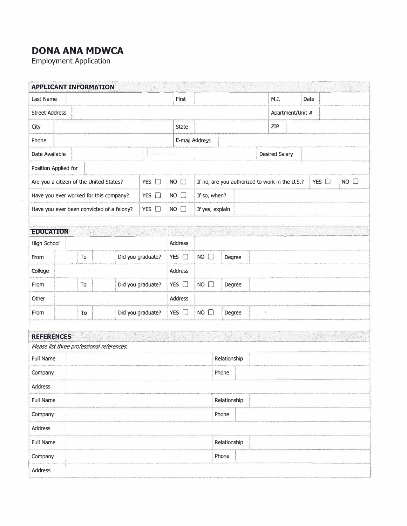## **DONA ANA MDWCA**

Employment Application

|                                                           |  | <b>APPLICANT INFORMATION</b> |                                                                                                                                                                                                                                                                                                                                                                                                                          | 深刻                |                                                                        |                 |                       |        |                  |  |  | $\mathcal{D}$ |
|-----------------------------------------------------------|--|------------------------------|--------------------------------------------------------------------------------------------------------------------------------------------------------------------------------------------------------------------------------------------------------------------------------------------------------------------------------------------------------------------------------------------------------------------------|-------------------|------------------------------------------------------------------------|-----------------|-----------------------|--------|------------------|--|--|---------------|
| Last Name                                                 |  |                              | First                                                                                                                                                                                                                                                                                                                                                                                                                    |                   |                                                                        |                 | M.I.                  |        | Date             |  |  |               |
| <b>Street Address</b>                                     |  |                              |                                                                                                                                                                                                                                                                                                                                                                                                                          |                   |                                                                        |                 |                       |        | Apartment/Unit # |  |  |               |
| City                                                      |  |                              |                                                                                                                                                                                                                                                                                                                                                                                                                          |                   | <b>State</b>                                                           |                 |                       |        | ZIP              |  |  |               |
| Phone                                                     |  |                              |                                                                                                                                                                                                                                                                                                                                                                                                                          |                   |                                                                        | E-mail Address  |                       |        |                  |  |  |               |
| 34<br>Date Available                                      |  |                              |                                                                                                                                                                                                                                                                                                                                                                                                                          |                   |                                                                        |                 | <b>Desired Salary</b> |        |                  |  |  |               |
| Position Applied for                                      |  |                              |                                                                                                                                                                                                                                                                                                                                                                                                                          |                   |                                                                        |                 |                       |        |                  |  |  |               |
| YES O<br>Are you a citizen of the United States?          |  |                              |                                                                                                                                                                                                                                                                                                                                                                                                                          | $NO$ $\Box$       | $NO$ $\Box$<br>If no, are you authorized to work in the U.S.?<br>YES □ |                 |                       |        |                  |  |  |               |
| Have you ever worked for this company?<br>$YES$ $\Box$    |  |                              |                                                                                                                                                                                                                                                                                                                                                                                                                          | $NO$ $\Box$       | If so, when?                                                           |                 |                       |        |                  |  |  |               |
|                                                           |  |                              | Have you ever been convicted of a felony?                                                                                                                                                                                                                                                                                                                                                                                | YES $\square$     | $NO$ $\Box$                                                            | If yes, explain |                       |        |                  |  |  |               |
|                                                           |  |                              |                                                                                                                                                                                                                                                                                                                                                                                                                          |                   |                                                                        |                 |                       |        |                  |  |  |               |
| <b>EDUCATION</b>                                          |  | $\mathbb{R}^{n \times n}$    | $\label{eq:3} \begin{array}{c} \mathbb{E}_{\mathbb{E}_{\mathbb{E}_{\mathbb{E}_{\mathbb{E}_{\mathbb{E}_{\mathbb{E}_{\mathbb{E}}}}}}}}\left(\mathbb{E}_{\mathbb{E}_{\mathbb{E}_{\mathbb{E}}}}\right) \\ \mathbb{E}_{\mathbb{E}_{\mathbb{E}_{\mathbb{E}}}}\left(\mathbb{E}_{\mathbb{E}_{\mathbb{E}_{\mathbb{E}}}}\right) \mathbb{E}_{\mathbb{E}_{\mathbb{E}}}\left(\mathbb{E}_{\mathbb{E}_{\mathbb{E}}}\right) \end{array}$ |                   | $\sqrt{2}$                                                             |                 |                       |        |                  |  |  |               |
| High School                                               |  |                              |                                                                                                                                                                                                                                                                                                                                                                                                                          |                   | Address                                                                |                 |                       |        |                  |  |  |               |
| From                                                      |  | To                           |                                                                                                                                                                                                                                                                                                                                                                                                                          | Did you graduate? | YES                                                                    | NO              |                       | Degree |                  |  |  |               |
| College                                                   |  |                              |                                                                                                                                                                                                                                                                                                                                                                                                                          |                   | Address                                                                |                 |                       |        |                  |  |  |               |
| From                                                      |  | To                           |                                                                                                                                                                                                                                                                                                                                                                                                                          | Did you graduate? | YES O                                                                  | $NO$ $\Box$     |                       | Degree |                  |  |  |               |
| Other                                                     |  |                              |                                                                                                                                                                                                                                                                                                                                                                                                                          |                   | Address                                                                |                 |                       |        |                  |  |  |               |
| From                                                      |  | To                           |                                                                                                                                                                                                                                                                                                                                                                                                                          | Did you graduate? | YES $\Box$                                                             | NO              |                       | Degree |                  |  |  |               |
| Has a<br>DRUGSCO - US<br>$2.2 - 2.6$<br><b>REFERENCES</b> |  |                              |                                                                                                                                                                                                                                                                                                                                                                                                                          |                   |                                                                        |                 |                       |        |                  |  |  |               |
|                                                           |  |                              | Please list three professional references.                                                                                                                                                                                                                                                                                                                                                                               |                   |                                                                        |                 |                       |        |                  |  |  |               |
| <b>Full Name</b>                                          |  |                              |                                                                                                                                                                                                                                                                                                                                                                                                                          |                   |                                                                        | Relationship    |                       |        |                  |  |  |               |
| Company                                                   |  |                              |                                                                                                                                                                                                                                                                                                                                                                                                                          |                   |                                                                        |                 | Phone                 |        |                  |  |  |               |
| Address                                                   |  |                              |                                                                                                                                                                                                                                                                                                                                                                                                                          |                   |                                                                        |                 |                       |        |                  |  |  |               |
| Full Name                                                 |  |                              |                                                                                                                                                                                                                                                                                                                                                                                                                          |                   |                                                                        | Relationship    |                       |        |                  |  |  |               |
| Company                                                   |  |                              |                                                                                                                                                                                                                                                                                                                                                                                                                          |                   |                                                                        |                 | Phone                 |        |                  |  |  |               |
| Address                                                   |  |                              |                                                                                                                                                                                                                                                                                                                                                                                                                          |                   |                                                                        |                 |                       |        |                  |  |  |               |
| Full Name                                                 |  |                              |                                                                                                                                                                                                                                                                                                                                                                                                                          |                   |                                                                        |                 | Relationship          |        |                  |  |  |               |
| Company                                                   |  |                              |                                                                                                                                                                                                                                                                                                                                                                                                                          |                   |                                                                        |                 | Phone                 |        |                  |  |  |               |
| Address                                                   |  |                              |                                                                                                                                                                                                                                                                                                                                                                                                                          |                   |                                                                        |                 |                       |        |                  |  |  |               |